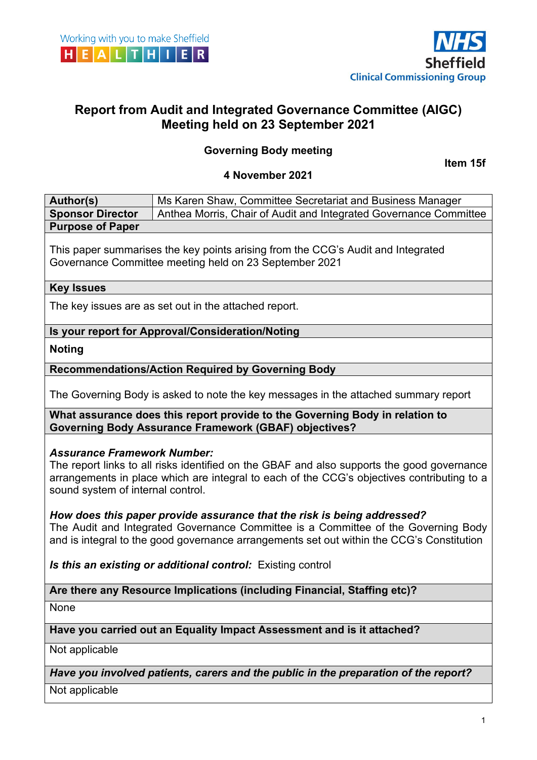



# **Report from Audit and Integrated Governance Committee (AIGC) Meeting held on 23 September 2021**

## **Governing Body meeting**

**Item 15f**

#### **4 November 2021**

| Author(s)               | Ms Karen Shaw, Committee Secretariat and Business Manager         |
|-------------------------|-------------------------------------------------------------------|
| <b>Sponsor Director</b> | Anthea Morris, Chair of Audit and Integrated Governance Committee |
| <b>Purpose of Paper</b> |                                                                   |

This paper summarises the key points arising from the CCG's Audit and Integrated Governance Committee meeting held on 23 September 2021

#### **Key Issues**

The key issues are as set out in the attached report.

**Is your report for Approval/Consideration/Noting**

**Noting**

**Recommendations/Action Required by Governing Body**

The Governing Body is asked to note the key messages in the attached summary report

**What assurance does this report provide to the Governing Body in relation to Governing Body Assurance Framework (GBAF) objectives?**

#### *Assurance Framework Number:*

The report links to all risks identified on the GBAF and also supports the good governance arrangements in place which are integral to each of the CCG's objectives contributing to a sound system of internal control.

#### *How does this paper provide assurance that the risk is being addressed?*

The Audit and Integrated Governance Committee is a Committee of the Governing Body and is integral to the good governance arrangements set out within the CCG's Constitution

*Is this an existing or additional control:* Existing control

## **Are there any Resource Implications (including Financial, Staffing etc)?**

None

**Have you carried out an Equality Impact Assessment and is it attached?**

Not applicable

#### *Have you involved patients, carers and the public in the preparation of the report?*

Not applicable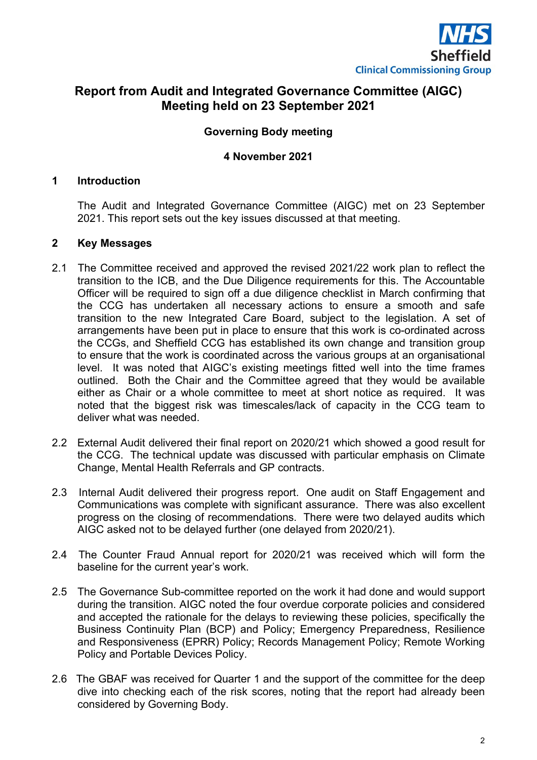

# **Report from Audit and Integrated Governance Committee (AIGC) Meeting held on 23 September 2021**

## **Governing Body meeting**

#### **4 November 2021**

#### **1 Introduction**

The Audit and Integrated Governance Committee (AIGC) met on 23 September 2021. This report sets out the key issues discussed at that meeting.

### **2 Key Messages**

- 2.1 The Committee received and approved the revised 2021/22 work plan to reflect the transition to the ICB, and the Due Diligence requirements for this. The Accountable Officer will be required to sign off a due diligence checklist in March confirming that the CCG has undertaken all necessary actions to ensure a smooth and safe transition to the new Integrated Care Board, subject to the legislation. A set of arrangements have been put in place to ensure that this work is co-ordinated across the CCGs, and Sheffield CCG has established its own change and transition group to ensure that the work is coordinated across the various groups at an organisational level. It was noted that AIGC's existing meetings fitted well into the time frames outlined. Both the Chair and the Committee agreed that they would be available either as Chair or a whole committee to meet at short notice as required. It was noted that the biggest risk was timescales/lack of capacity in the CCG team to deliver what was needed.
- 2.2 External Audit delivered their final report on 2020/21 which showed a good result for the CCG. The technical update was discussed with particular emphasis on Climate Change, Mental Health Referrals and GP contracts.
- 2.3 Internal Audit delivered their progress report. One audit on Staff Engagement and Communications was complete with significant assurance. There was also excellent progress on the closing of recommendations. There were two delayed audits which AIGC asked not to be delayed further (one delayed from 2020/21).
- 2.4 The Counter Fraud Annual report for 2020/21 was received which will form the baseline for the current year's work.
- 2.5 The Governance Sub-committee reported on the work it had done and would support during the transition. AIGC noted the four overdue corporate policies and considered and accepted the rationale for the delays to reviewing these policies, specifically the Business Continuity Plan (BCP) and Policy; Emergency Preparedness, Resilience and Responsiveness (EPRR) Policy; Records Management Policy; Remote Working Policy and Portable Devices Policy.
- 2.6 The GBAF was received for Quarter 1 and the support of the committee for the deep dive into checking each of the risk scores, noting that the report had already been considered by Governing Body.